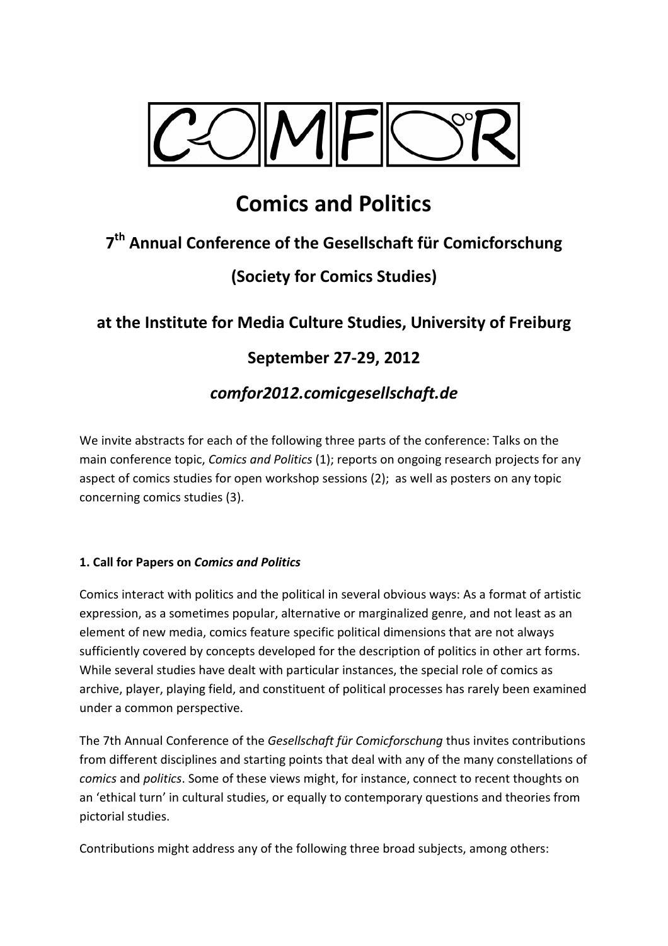

# **Comics and Politics**

## **7 th Annual Conference of the Gesellschaft für Comicforschung**

### **(Society for Comics Studies)**

### **at the Institute for Media Culture Studies, University of Freiburg**

### **September 27-29, 2012**

### *comfor2012.comicgesellschaft.de*

We invite abstracts for each of the following three parts of the conference: Talks on the main conference topic, *Comics and Politics* (1); reports on ongoing research projects for any aspect of comics studies for open workshop sessions (2); as well as posters on any topic concerning comics studies (3).

#### **1. Call for Papers on** *Comics and Politics*

Comics interact with politics and the political in several obvious ways: As a format of artistic expression, as a sometimes popular, alternative or marginalized genre, and not least as an element of new media, comics feature specific political dimensions that are not always sufficiently covered by concepts developed for the description of politics in other art forms. While several studies have dealt with particular instances, the special role of comics as archive, player, playing field, and constituent of political processes has rarely been examined under a common perspective.

The 7th Annual Conference of the *Gesellschaft für Comicforschung* thus invites contributions from different disciplines and starting points that deal with any of the many constellations of *comics* and *politics*. Some of these views might, for instance, connect to recent thoughts on an 'ethical turn' in cultural studies, or equally to contemporary questions and theories from pictorial studies.

Contributions might address any of the following three broad subjects, among others: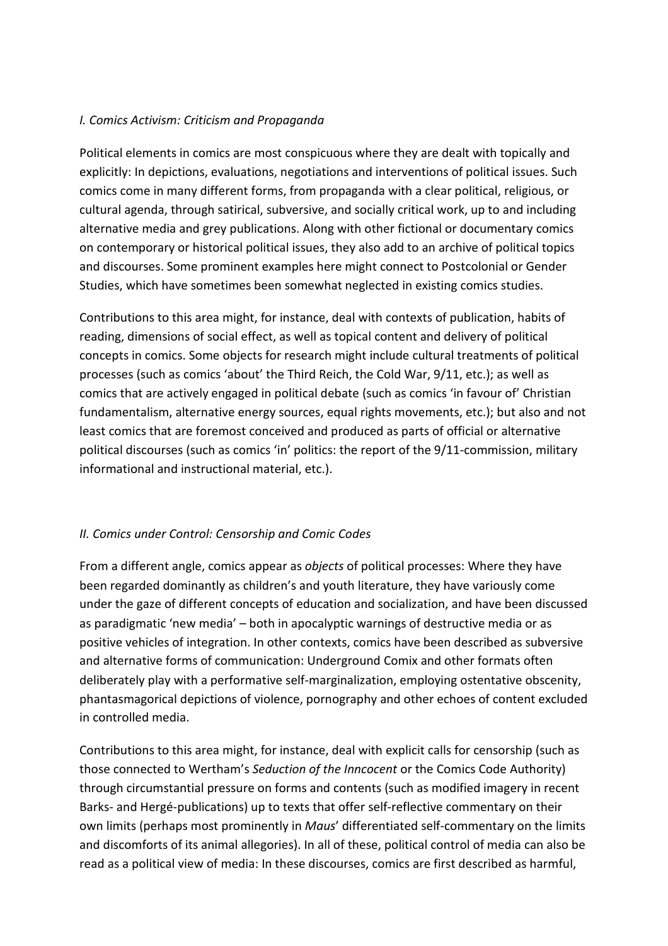#### *I. Comics Activism: Criticism and Propaganda*

Political elements in comics are most conspicuous where they are dealt with topically and explicitly: In depictions, evaluations, negotiations and interventions of political issues. Such comics come in many different forms, from propaganda with a clear political, religious, or cultural agenda, through satirical, subversive, and socially critical work, up to and including alternative media and grey publications. Along with other fictional or documentary comics on contemporary or historical political issues, they also add to an archive of political topics and discourses. Some prominent examples here might connect to Postcolonial or Gender Studies, which have sometimes been somewhat neglected in existing comics studies.

Contributions to this area might, for instance, deal with contexts of publication, habits of reading, dimensions of social effect, as well as topical content and delivery of political concepts in comics. Some objects for research might include cultural treatments of political processes (such as comics 'about' the Third Reich, the Cold War, 9/11, etc.); as well as comics that are actively engaged in political debate (such as comics 'in favour of' Christian fundamentalism, alternative energy sources, equal rights movements, etc.); but also and not least comics that are foremost conceived and produced as parts of official or alternative political discourses (such as comics 'in' politics: the report of the 9/11-commission, military informational and instructional material, etc.).

#### *II. Comics under Control: Censorship and Comic Codes*

From a different angle, comics appear as *objects* of political processes: Where they have been regarded dominantly as children's and youth literature, they have variously come under the gaze of different concepts of education and socialization, and have been discussed as paradigmatic 'new media' – both in apocalyptic warnings of destructive media or as positive vehicles of integration. In other contexts, comics have been described as subversive and alternative forms of communication: Underground Comix and other formats often deliberately play with a performative self-marginalization, employing ostentative obscenity, phantasmagorical depictions of violence, pornography and other echoes of content excluded in controlled media.

Contributions to this area might, for instance, deal with explicit calls for censorship (such as those connected to Wertham's *Seduction of the Inncocent* or the Comics Code Authority) through circumstantial pressure on forms and contents (such as modified imagery in recent Barks- and Hergé-publications) up to texts that offer self-reflective commentary on their own limits (perhaps most prominently in *Maus*' differentiated self-commentary on the limits and discomforts of its animal allegories). In all of these, political control of media can also be read as a political view of media: In these discourses, comics are first described as harmful,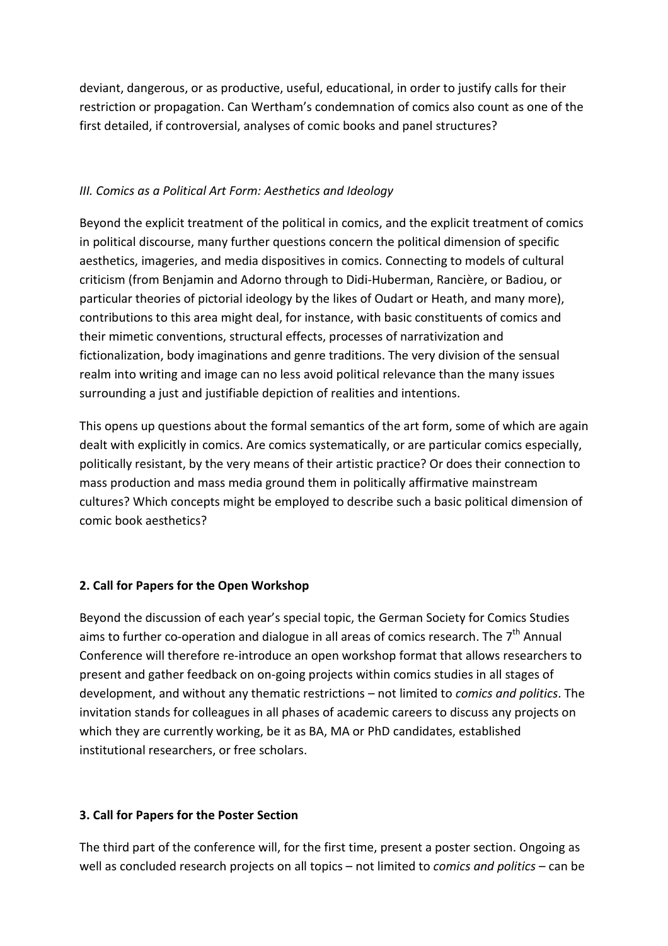deviant, dangerous, or as productive, useful, educational, in order to justify calls for their restriction or propagation. Can Wertham's condemnation of comics also count as one of the first detailed, if controversial, analyses of comic books and panel structures?

#### *III. Comics as a Political Art Form: Aesthetics and Ideology*

Beyond the explicit treatment of the political in comics, and the explicit treatment of comics in political discourse, many further questions concern the political dimension of specific aesthetics, imageries, and media dispositives in comics. Connecting to models of cultural criticism (from Benjamin and Adorno through to Didi-Huberman, Rancière, or Badiou, or particular theories of pictorial ideology by the likes of Oudart or Heath, and many more), contributions to this area might deal, for instance, with basic constituents of comics and their mimetic conventions, structural effects, processes of narrativization and fictionalization, body imaginations and genre traditions. The very division of the sensual realm into writing and image can no less avoid political relevance than the many issues surrounding a just and justifiable depiction of realities and intentions.

This opens up questions about the formal semantics of the art form, some of which are again dealt with explicitly in comics. Are comics systematically, or are particular comics especially, politically resistant, by the very means of their artistic practice? Or does their connection to mass production and mass media ground them in politically affirmative mainstream cultures? Which concepts might be employed to describe such a basic political dimension of comic book aesthetics?

#### **2. Call for Papers for the Open Workshop**

Beyond the discussion of each year's special topic, the German Society for Comics Studies aims to further co-operation and dialogue in all areas of comics research. The  $7<sup>th</sup>$  Annual Conference will therefore re-introduce an open workshop format that allows researchers to present and gather feedback on on-going projects within comics studies in all stages of development, and without any thematic restrictions – not limited to *comics and politics*. The invitation stands for colleagues in all phases of academic careers to discuss any projects on which they are currently working, be it as BA, MA or PhD candidates, established institutional researchers, or free scholars.

#### **3. Call for Papers for the Poster Section**

The third part of the conference will, for the first time, present a poster section. Ongoing as well as concluded research projects on all topics – not limited to *comics and politics* – can be